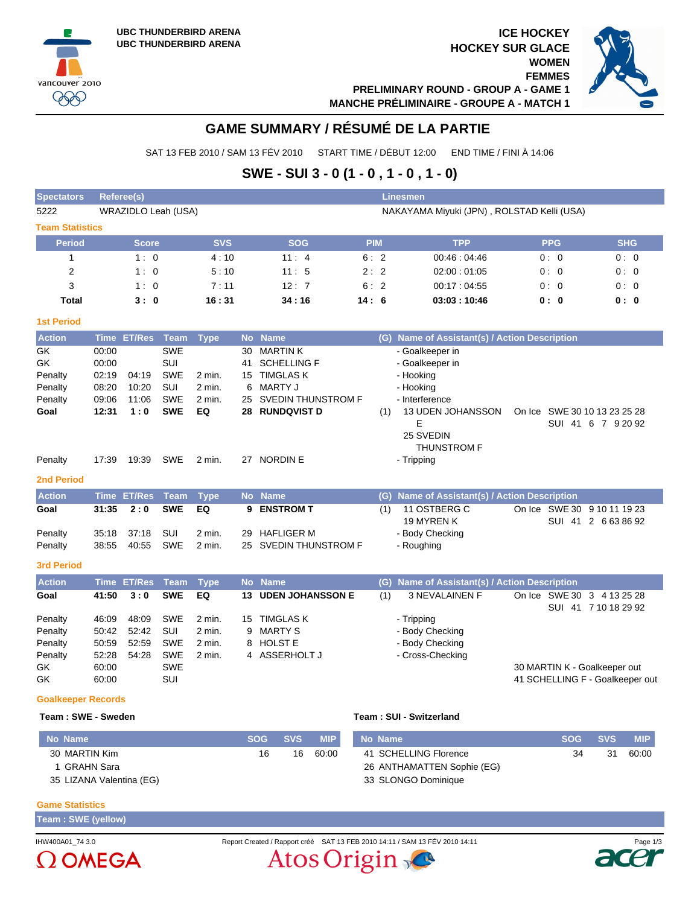vancouver 2010 **PPP** 





# **GAME SUMMARY / RÉSUMÉ DE LA PARTIE**

SAT 13 FEB 2010 / SAM 13 FÉV 2010 START TIME / DÉBUT 12:00 END TIME / FINI À 14:06

## **SWE - SUI 3 - 0 (1 - 0 , 1 - 0 , 1 - 0)**

| <b>Spectators</b>                                                                                                                                            | Referee(s)<br><b>Linesmen</b>                                                                         |                                                                                   |                                                                                                                             |                                                                                     |                                                               |                                                                                                                                                                                                                     |            |                   |                                                                                                                                                                                                                                                                       |  |            |                                                                                                         |  |  |  |  |
|--------------------------------------------------------------------------------------------------------------------------------------------------------------|-------------------------------------------------------------------------------------------------------|-----------------------------------------------------------------------------------|-----------------------------------------------------------------------------------------------------------------------------|-------------------------------------------------------------------------------------|---------------------------------------------------------------|---------------------------------------------------------------------------------------------------------------------------------------------------------------------------------------------------------------------|------------|-------------------|-----------------------------------------------------------------------------------------------------------------------------------------------------------------------------------------------------------------------------------------------------------------------|--|------------|---------------------------------------------------------------------------------------------------------|--|--|--|--|
| 5222                                                                                                                                                         | WRAZIDLO Leah (USA)                                                                                   |                                                                                   |                                                                                                                             |                                                                                     |                                                               |                                                                                                                                                                                                                     |            |                   | NAKAYAMA Miyuki (JPN), ROLSTAD Kelli (USA)                                                                                                                                                                                                                            |  |            |                                                                                                         |  |  |  |  |
| <b>Team Statistics</b>                                                                                                                                       |                                                                                                       |                                                                                   |                                                                                                                             |                                                                                     |                                                               |                                                                                                                                                                                                                     |            |                   |                                                                                                                                                                                                                                                                       |  |            |                                                                                                         |  |  |  |  |
| <b>Period</b>                                                                                                                                                |                                                                                                       | <b>Score</b>                                                                      |                                                                                                                             | <b>SVS</b>                                                                          |                                                               | <b>SOG</b>                                                                                                                                                                                                          | <b>PIM</b> |                   | <b>TPP</b>                                                                                                                                                                                                                                                            |  | <b>PPG</b> | <b>SHG</b>                                                                                              |  |  |  |  |
| 1                                                                                                                                                            |                                                                                                       | 1:0                                                                               |                                                                                                                             | 4:10                                                                                |                                                               | 11:4                                                                                                                                                                                                                | 6:2        |                   | 00:46:04:46                                                                                                                                                                                                                                                           |  | 0:0        | 0:0                                                                                                     |  |  |  |  |
| 2                                                                                                                                                            |                                                                                                       | 1:0                                                                               |                                                                                                                             | 5:10                                                                                |                                                               | 11:5                                                                                                                                                                                                                | 2:2        |                   | 02:00:01:05                                                                                                                                                                                                                                                           |  | 0:0        | 0:0                                                                                                     |  |  |  |  |
| 3                                                                                                                                                            |                                                                                                       | 1:0                                                                               |                                                                                                                             | 7:11                                                                                |                                                               | 12:7                                                                                                                                                                                                                | 6:2        |                   | 00:17:04:55                                                                                                                                                                                                                                                           |  | 0:0        | 0:0                                                                                                     |  |  |  |  |
| <b>Total</b>                                                                                                                                                 |                                                                                                       | 3:0                                                                               |                                                                                                                             | 16:31                                                                               |                                                               | 34:16                                                                                                                                                                                                               | 14:6       |                   | 03:03:10:46                                                                                                                                                                                                                                                           |  | 0: 0       | 0: 0                                                                                                    |  |  |  |  |
| <b>1st Period</b>                                                                                                                                            |                                                                                                       |                                                                                   |                                                                                                                             |                                                                                     |                                                               |                                                                                                                                                                                                                     |            |                   |                                                                                                                                                                                                                                                                       |  |            |                                                                                                         |  |  |  |  |
| <b>Action</b>                                                                                                                                                |                                                                                                       | Time ET/Res Team                                                                  |                                                                                                                             | <b>Type</b>                                                                         | <b>No</b>                                                     | <b>Name</b>                                                                                                                                                                                                         |            |                   | (G) Name of Assistant(s) / Action Description                                                                                                                                                                                                                         |  |            |                                                                                                         |  |  |  |  |
| <b>GK</b><br>GK<br>Penalty<br>Penalty<br>Penalty<br>Goal<br>Penalty<br><b>2nd Period</b><br><b>Action</b><br>Goal<br>Penalty<br>Penalty<br><b>3rd Period</b> | 00:00<br>00:00<br>02:19<br>08:20<br>09:06<br>12:31<br>17:39<br><b>Time</b><br>31:35<br>35:18<br>38:55 | 04:19<br>10:20<br>11:06<br>1:0<br>19:39<br><b>ET/Res</b><br>2:0<br>37:18<br>40:55 | <b>SWE</b><br>SUI<br><b>SWE</b><br>SUI<br><b>SWE</b><br><b>SWE</b><br><b>SWE</b><br><b>Team</b><br><b>SWE</b><br>SUI<br>SWE | 2 min.<br>2 min.<br>2 min.<br>EQ<br>2 min.<br><b>Type</b><br>EQ<br>2 min.<br>2 min. | 30<br>41<br>15<br>6<br>25<br>28<br><b>No</b><br>9<br>29<br>25 | <b>MARTINK</b><br><b>SCHELLING F</b><br><b>TIMGLAS K</b><br><b>MARTY J</b><br>SVEDIN THUNSTROM F<br><b>RUNDQVIST D</b><br>27 NORDIN E<br><b>Name</b><br><b>ENSTROM T</b><br><b>HAFLIGER M</b><br>SVEDIN THUNSTROM F |            | (1)<br>(G)<br>(1) | - Goalkeeper in<br>- Goalkeeper in<br>- Hooking<br>- Hooking<br>- Interference<br>13 UDEN JOHANSSON<br>Е<br>25 SVEDIN<br><b>THUNSTROM F</b><br>- Tripping<br>Name of Assistant(s) / Action Description<br>11 OSTBERG C<br>19 MYREN K<br>- Body Checking<br>- Roughing |  |            | On Ice SWE 30 10 13 23 25 28<br>SUI 41 6 7 9 20 92<br>On Ice SWE 30 9 10 11 19 23<br>SUI 41 2 663 86 92 |  |  |  |  |
| <b>Action</b>                                                                                                                                                |                                                                                                       | <b>Time ET/Res</b>                                                                | <b>Team</b>                                                                                                                 | <b>Type</b>                                                                         |                                                               | No Name                                                                                                                                                                                                             |            | (G)               | Name of Assistant(s) / Action Description                                                                                                                                                                                                                             |  |            |                                                                                                         |  |  |  |  |
| Goal                                                                                                                                                         | 41:50                                                                                                 | 3:0                                                                               | <b>SWE</b>                                                                                                                  | EQ                                                                                  | 13                                                            | <b>UDEN JOHANSSON E</b>                                                                                                                                                                                             |            | (1)               | <b>3 NEVALAINEN F</b>                                                                                                                                                                                                                                                 |  |            | On Ice SWE 30 3 4 13 25 28<br>SUI 41 7 10 18 29 92                                                      |  |  |  |  |
| Penalty<br>Penalty<br>Penalty<br>Penalty<br>GK<br>GK<br><b>Goalkeeper Records</b>                                                                            | 46:09<br>50:42<br>50:59<br>52:28<br>60:00<br>60:00                                                    | 48:09<br>52:42<br>52:59<br>54:28                                                  | <b>SWE</b><br>SUI<br><b>SWE</b><br><b>SWE</b><br><b>SWE</b><br>SUI                                                          | 2 min.<br>2 min.<br>2 min.<br>2 min.                                                | 15<br>9<br>8<br>4                                             | <b>TIMGLAS K</b><br><b>MARTY S</b><br><b>HOLST E</b><br>ASSERHOLT J                                                                                                                                                 |            |                   | - Tripping<br>- Body Checking<br>- Body Checking<br>- Cross-Checking                                                                                                                                                                                                  |  |            | 30 MARTIN K - Goalkeeper out<br>41 SCHELLING F - Goalkeeper out                                         |  |  |  |  |

#### **Team : SWE - Sweden Team : SUI - Switzerland**

| No Name                  | <b>SOG</b> | <b>SVS</b> | <b>MIP</b> | No Name                    | <b>SOG</b> | <b>SVS</b> | <b>MIP</b> |
|--------------------------|------------|------------|------------|----------------------------|------------|------------|------------|
| 30 MARTIN Kim            | 16         | 16         | 60:00      | 41 SCHELLING Florence      | 34         | 31         | 60:00      |
| GRAHN Sara               |            |            |            | 26 ANTHAMATTEN Sophie (EG) |            |            |            |
| 35 LIZANA Valentina (EG) |            |            |            | 33 SLONGO Dominique        |            |            |            |

#### **Game Statistics**

**Team : SWE (yellow)**



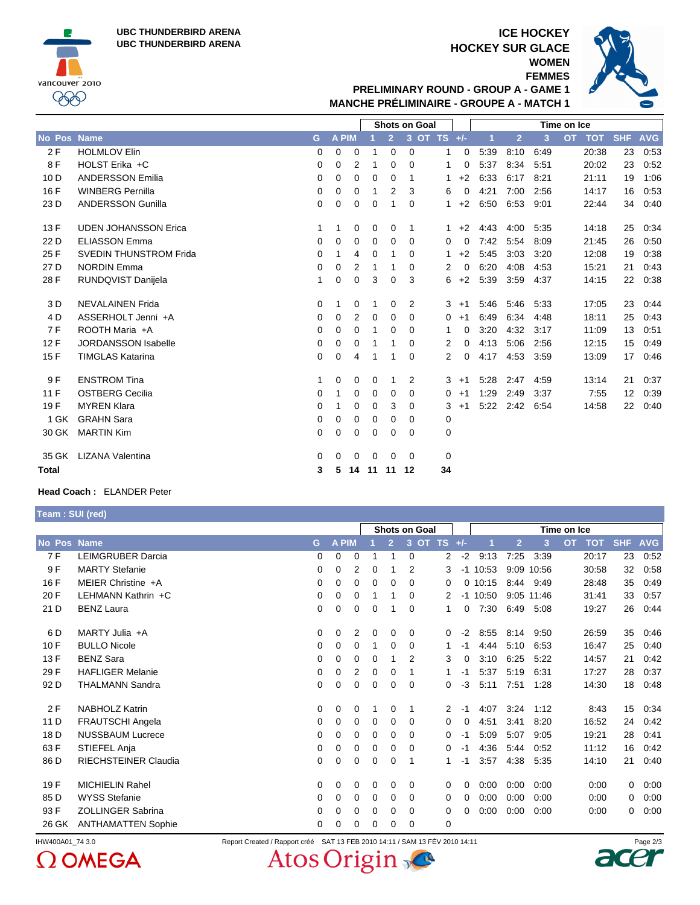**UBC THUNDERBIRD ARENA UBC THUNDERBIRD ARENA**



## **ICE HOCKEY HOCKEY SUR GLACE WOMEN**

**FEMMES**



**PRELIMINARY ROUND - GROUP A - GAME 1 MANCHE PRÉLIMINAIRE - GROUPE A - MATCH 1**

|                    |                             |          |              |                |    | <b>Shots on Goal</b> |          |             |           | Time on Ice |      |                |      |                         |            |            |
|--------------------|-----------------------------|----------|--------------|----------------|----|----------------------|----------|-------------|-----------|-------------|------|----------------|------|-------------------------|------------|------------|
| <b>No Pos Name</b> |                             | G        | <b>A PIM</b> |                |    | $\overline{2}$       |          | 3 OT TS +/- |           |             | 1    | $\overline{2}$ | 3    | <b>OT</b><br><b>TOT</b> | <b>SHF</b> | <b>AVG</b> |
| 2F                 | <b>HOLMLOV Elin</b>         | 0        | 0            | 0              |    | 0                    | $\Omega$ |             | 1         | 0           | 5:39 | 8:10           | 6:49 | 20:38                   | 23         | 0.53       |
| 8F                 | HOLST Erika +C              | $\Omega$ | $\Omega$     | $\overline{2}$ | 1  | 0                    | $\Omega$ |             | 1         | 0           | 5:37 | 8:34           | 5:51 | 20:02                   | 23         | 0.52       |
| 10 <sub>D</sub>    | <b>ANDERSSON Emilia</b>     | 0        | 0            | $\mathbf 0$    | 0  | 0                    | 1        |             | 1         | $+2$        | 6:33 | 6:17           | 8:21 | 21:11                   | 19         | 1:06       |
| 16 F               | <b>WINBERG Pernilla</b>     | 0        | 0            | 0              | 1  | 2                    | 3        |             | 6         | 0           | 4:21 | 7:00           | 2:56 | 14:17                   | 16         | 0.53       |
| 23 D               | <b>ANDERSSON Gunilla</b>    | $\Omega$ | 0            | 0              | 0  | 1                    | $\Omega$ |             | 1         | $+2$        | 6:50 | 6:53           | 9:01 | 22:44                   | 34         | 0:40       |
| 13F                | <b>UDEN JOHANSSON Erica</b> | 1        | 1            | 0              | 0  | 0                    | -1       |             | 1.        | $+2$        | 4:43 | 4:00           | 5:35 | 14:18                   | 25         | 0:34       |
| 22 D               | <b>ELIASSON Emma</b>        | 0        | 0            | $\mathbf 0$    | 0  | 0                    | $\Omega$ |             | 0         | $\Omega$    | 7:42 | 5:54           | 8:09 | 21:45                   | 26         | 0:50       |
| 25 F               | SVEDIN THUNSTROM Frida      | 0        | 1            | 4              | 0  | 1                    | 0        |             | 1         | $+2$        | 5:45 | 3:03           | 3:20 | 12:08                   | 19         | 0:38       |
| 27 D               | <b>NORDIN Emma</b>          | 0        | 0            | $\overline{2}$ | 1  | 1                    | $\Omega$ |             | 2         | 0           | 6:20 | 4:08           | 4:53 | 15:21                   | 21         | 0:43       |
| 28 F               | RUNDQVIST Danijela          | 1        | $\Omega$     | $\mathbf 0$    | 3  | 0                    | 3        |             | 6         | $+2$        | 5:39 | 3:59           | 4:37 | 14:15                   | 22         | 0:38       |
| 3 D                | <b>NEVALAINEN Frida</b>     | 0        |              | $\mathbf 0$    | 1  | 0                    | 2        |             | 3<br>$+1$ |             | 5:46 | 5:46           | 5:33 | 17:05                   | 23         | 0.44       |
| 4 D                | ASSERHOLT Jenni +A          | 0        | 0            | 2              | 0  | 0                    | $\Omega$ |             | $+1$<br>0 |             | 6:49 | 6:34           | 4:48 | 18:11                   | 25         | 0.43       |
| 7F                 | ROOTH Maria +A              | $\Omega$ | 0            | 0              | 1  | 0                    | 0        |             | 1         | 0           | 3:20 | 4:32           | 3:17 | 11:09                   | 13         | 0:51       |
| 12F                | <b>JORDANSSON Isabelle</b>  | 0        | 0            | 0              |    | 1                    | $\Omega$ |             | 2         | 0           | 4:13 | 5:06           | 2:56 | 12:15                   | 15         | 0.49       |
| 15F                | <b>TIMGLAS Katarina</b>     | $\Omega$ | 0            | 4              | 1  | 1                    | $\Omega$ |             | 2         | 0           | 4:17 | 4:53           | 3:59 | 13:09                   | 17         | 0.46       |
| 9 F                | <b>ENSTROM Tina</b>         | 1        | 0            | 0              | 0  | 1                    | 2        |             | 3<br>$+1$ |             | 5:28 | 2:47           | 4:59 | 13:14                   | 21         | 0:37       |
| 11F                | <b>OSTBERG Cecilia</b>      | 0        | 1            | 0              | 0  | 0                    | $\Omega$ |             | 0<br>$+1$ |             | 1:29 | 2:49           | 3:37 | 7:55                    | 12         | 0:39       |
| 19F                | <b>MYREN Klara</b>          | 0        |              | 0              | 0  | 3                    | 0        |             | 3<br>$+1$ |             | 5:22 | 2:42           | 6:54 | 14:58                   | 22         | 0:40       |
| 1 GK               | <b>GRAHN Sara</b>           | 0        | 0            | 0              | 0  | 0                    | 0        |             | 0         |             |      |                |      |                         |            |            |
| 30 GK              | <b>MARTIN Kim</b>           | 0        | $\Omega$     | 0              | 0  | 0                    | $\Omega$ |             | 0         |             |      |                |      |                         |            |            |
| 35 GK              | LIZANA Valentina            | $\Omega$ | 0            | 0              | 0  | 0                    | $\Omega$ |             | 0         |             |      |                |      |                         |            |            |
| <b>Total</b>       |                             | 3        | 5            | 14             | 11 | 11                   | 12       |             | 34        |             |      |                |      |                         |            |            |

### **Head Coach :** ELANDER Peter

**Team : SUI (red)**

|        |                             | Shots on Goal |              |   |          |                | Time on Ice    |                |          |            |                |            |                         |            |            |
|--------|-----------------------------|---------------|--------------|---|----------|----------------|----------------|----------------|----------|------------|----------------|------------|-------------------------|------------|------------|
| No Pos | <b>Name</b>                 | G             | <b>A PIM</b> |   |          | $\overline{2}$ | <b>OT</b><br>3 | <b>TS</b>      | $+/-$    |            | $\overline{2}$ | 3          | <b>OT</b><br><b>TOT</b> | <b>SHF</b> | <b>AVG</b> |
| 7 F    | <b>LEIMGRUBER Darcia</b>    | 0             | 0            | 0 |          |                | 0              | $\overline{2}$ | $-2$     | 9:13       | 7:25           | 3:39       | 20:17                   | 23         | 0.52       |
| 9F     | <b>MARTY Stefanie</b>       | 0             | 0            | 2 | 0        |                | 2              | 3              | $-1$     | 10:53      | 9:09           | 10:56      | 30.58                   | 32         | 0:58       |
| 16 F   | MEIER Christine +A          | 0             | 0            | 0 | 0        | 0              | 0              | 0              | 0        | 10:15      | 8:44           | 9:49       | 28:48                   | 35         | 0:49       |
| 20 F   | LEHMANN Kathrin +C          | 0             | 0            | 0 |          |                | 0              | 2              |          | $-1$ 10:50 |                | 9:05 11:46 | 31:41                   | 33         | 0:57       |
| 21 D   | <b>BENZ Laura</b>           | 0             | 0            | 0 | 0        |                | 0              | 1              | 0        | 7:30       | 6:49           | 5:08       | 19:27                   | 26         | 0.44       |
| 6 D    | MARTY Julia +A              | 0             | 0            | 2 | 0        | 0              | 0              | $\mathbf{0}$   | $-2$     | 8:55       | 8:14           | 9:50       | 26:59                   | 35         | 0.46       |
| 10F    | <b>BULLO Nicole</b>         | 0             | 0            | 0 |          | 0              | $\Omega$       |                | -1       | 4:44       | 5:10           | 6:53       | 16:47                   | 25         | 0:40       |
| 13 F   | <b>BENZ Sara</b>            | 0             | 0            | 0 | 0        |                | 2              | 3              | $\Omega$ | 3:10       | 6:25           | 5:22       | 14:57                   | 21         | 0:42       |
| 29 F   | <b>HAFLIGER Melanie</b>     | 0             | 0            | 2 | 0        | 0              | 1              | 1              | -1       | 5:37       | 5:19           | 6:31       | 17:27                   | 28         | 0:37       |
| 92 D   | <b>THALMANN Sandra</b>      | 0             | 0            | 0 | 0        | 0              | 0              | 0              | $-3$     | 5:11       | 7:51           | 1:28       | 14:30                   | 18         | 0:48       |
| 2F     | <b>NABHOLZ Katrin</b>       | 0             | 0            | 0 |          | 0              | 1              | 2              | $-1$     | 4:07       | 3:24           | 1:12       | 8:43                    | 15         | 0:34       |
| 11 D   | FRAUTSCHI Angela            | 0             | 0            | 0 | 0        | 0              | $\Omega$       | 0              | 0        | 4:51       | 3:41           | 8:20       | 16:52                   | 24         | 0.42       |
| 18 D   | <b>NUSSBAUM Lucrece</b>     | 0             | 0            | 0 | 0        | 0              | 0              | 0              | -1       | 5:09       | 5:07           | 9:05       | 19:21                   | 28         | 0:41       |
| 63 F   | STIEFEL Anja                | 0             | 0            | 0 | 0        | 0              | 0              | 0              | -1       | 4:36       | 5:44           | 0:52       | 11:12                   | 16         | 0:42       |
| 86 D   | <b>RIECHSTEINER Claudia</b> | 0             | 0            | 0 | 0        | $\Omega$       | 1              | 1              | -1       | 3:57       | 4:38           | 5:35       | 14:10                   | 21         | 0:40       |
| 19F    | <b>MICHIELIN Rahel</b>      | 0             | 0            | 0 | 0        | 0              | 0              | 0              | 0        | 0:00       | 0:00           | 0:00       | 0:00                    | $\Omega$   | 0:00       |
| 85 D   | <b>WYSS Stefanie</b>        | 0             | 0            | 0 | $\Omega$ | $\Omega$       | $\Omega$       | 0              | 0        | 0:00       | 0:00           | 0:00       | 0:00                    | $\Omega$   | 0:00       |
| 93 F   | ZOLLINGER Sabrina           | 0             | 0            | 0 | 0        | 0              | 0              | 0              | 0        | 0:00       | 0:00           | 0:00       | 0:00                    | 0          | 0:00       |
| 26 GK  | <b>ANTHAMATTEN Sophie</b>   | 0             | 0            | 0 | 0        | 0              | 0              | 0              |          |            |                |            |                         |            |            |



Atos Origin